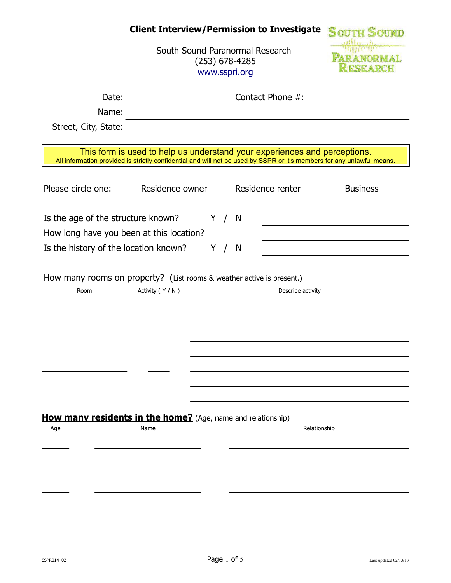# Client Interview/Permission to Investigate SOUTH SOUND

**PARANORMAL**<br>**RESEARCH** 

| South Sound Paranormal Research |
|---------------------------------|
| $(253)$ 678-4285                |
| www.sspri.org                   |

| Date:<br>Name:                                                                |                  |       | Contact Phone #:                                                                                                                                                                                    |                 |
|-------------------------------------------------------------------------------|------------------|-------|-----------------------------------------------------------------------------------------------------------------------------------------------------------------------------------------------------|-----------------|
| Street, City, State:                                                          |                  |       |                                                                                                                                                                                                     |                 |
|                                                                               |                  |       | This form is used to help us understand your experiences and perceptions.<br>All information provided is strictly confidential and will not be used by SSPR or it's members for any unlawful means. |                 |
| Please circle one:                                                            | Residence owner  |       | Residence renter                                                                                                                                                                                    | <b>Business</b> |
| Is the age of the structure known?                                            |                  | Y / N |                                                                                                                                                                                                     |                 |
| How long have you been at this location?                                      |                  |       |                                                                                                                                                                                                     |                 |
| Is the history of the location known?                                         |                  | Y / N |                                                                                                                                                                                                     |                 |
| How many rooms on property? (List rooms & weather active is present.)<br>Room | Activity (Y / N) |       | Describe activity                                                                                                                                                                                   |                 |
| <b>How many residents in the home?</b> (Age, name and relationship)<br>Age    | Name             |       | Relationship                                                                                                                                                                                        |                 |
|                                                                               |                  |       |                                                                                                                                                                                                     |                 |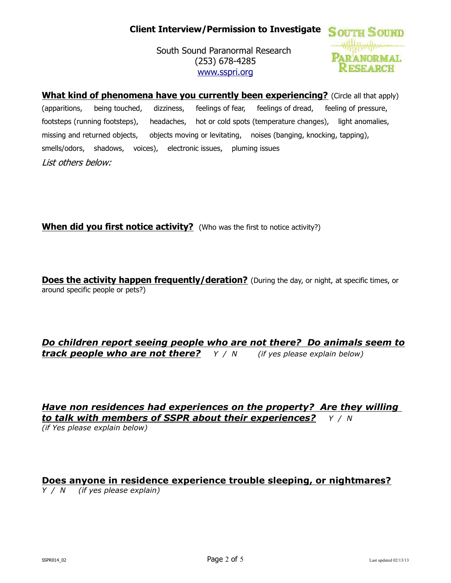# Client Interview/Permission to Investigate SOUTH SOUND

South Sound Paranormal Research (253) 678-4285 www.sspri.org



**What kind of phenomena have you currently been experiencing?** (Circle all that apply) (apparitions, being touched, dizziness, feelings of fear, feelings of dread, feeling of pressure, footsteps (running footsteps), headaches, hot or cold spots (temperature changes), light anomalies, missing and returned objects, objects moving or levitating, noises (banging, knocking, tapping), smells/odors, shadows, voices), electronic issues, pluming issues List others below:

When did you first notice activity? (Who was the first to notice activity?)

**Does the activity happen frequently/deration?** (During the day, or night, at specific times, or around specific people or pets?)

Do children report seeing people who are not there? Do animals seem to **track people who are not there?**  $Y / N$  (if yes please explain below)

Have non residences had experiences on the property? Are they willing to talk with members of SSPR about their experiences?  $Y / N$ 

(if Yes please explain below)

#### Does anyone in residence experience trouble sleeping, or nightmares?

Y / N (if yes please explain)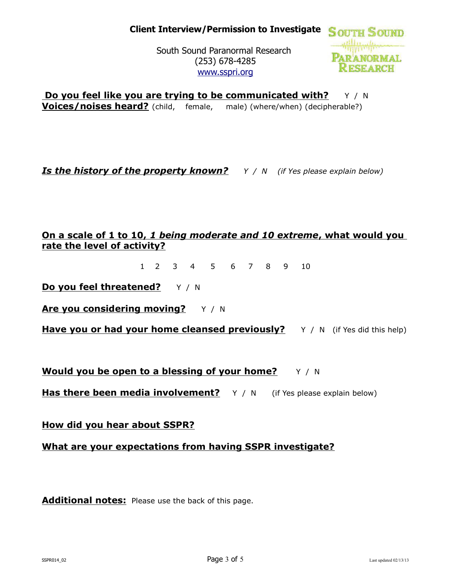**PARANORMAL KESEARCH** 

South Sound Paranormal Research (253) 678-4285 www.sspri.org

**Do you feel like you are trying to be communicated with?**  $Y / N$ **Voices/noises heard?** (child, female, male) (where/when) (decipherable?)

**Is the history of the property known?**  $Y / N$  (if Yes please explain below)

## On a scale of 1 to 10, 1 being moderate and 10 extreme, what would you rate the level of activity?

1 2 3 4 5 6 7 8 9 10

Do you feel threatened? Y / N

Are you considering moving?  $Y / N$ 

Have you or had your home cleansed previously? Y / N (if Yes did this help)

**Would you be open to a blessing of your home?**  $Y / N$ 

**Has there been media involvement?**  $Y / N$  (if Yes please explain below)

How did you hear about SSPR?

What are your expectations from having SSPR investigate?

Additional notes: Please use the back of this page.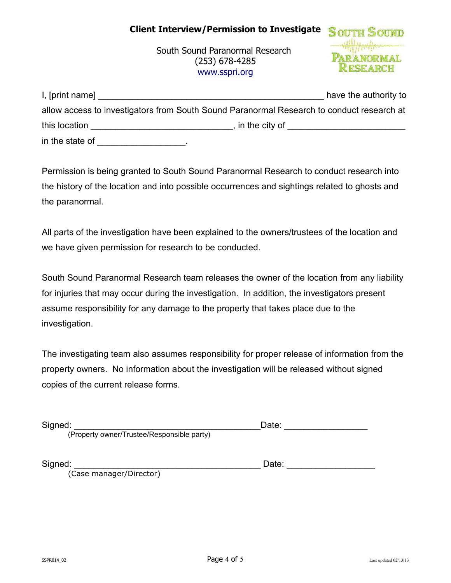### Client Interview/Permission to Investigate



South Sound Paranormal Research (253) 678-4285 www.sspri.org

| I, [print name] | have the authority to                                                                     |
|-----------------|-------------------------------------------------------------------------------------------|
|                 | allow access to investigators from South Sound Paranormal Research to conduct research at |
| this location   | , in the city of $\overline{\phantom{a}}$                                                 |
| in the state of |                                                                                           |

Permission is being granted to South Sound Paranormal Research to conduct research into the history of the location and into possible occurrences and sightings related to ghosts and the paranormal.

All parts of the investigation have been explained to the owners/trustees of the location and we have given permission for research to be conducted.

South Sound Paranormal Research team releases the owner of the location from any liability for injuries that may occur during the investigation. In addition, the investigators present assume responsibility for any damage to the property that takes place due to the investigation.

The investigating team also assumes responsibility for proper release of information from the property owners. No information about the investigation will be released without signed copies of the current release forms.

| Signed:                                    | Jate: |
|--------------------------------------------|-------|
| (Property owner/Trustee/Responsible party) |       |

| Signed: | ---<br>Date. |  |
|---------|--------------|--|
|         |              |  |

(Case manager/Director)